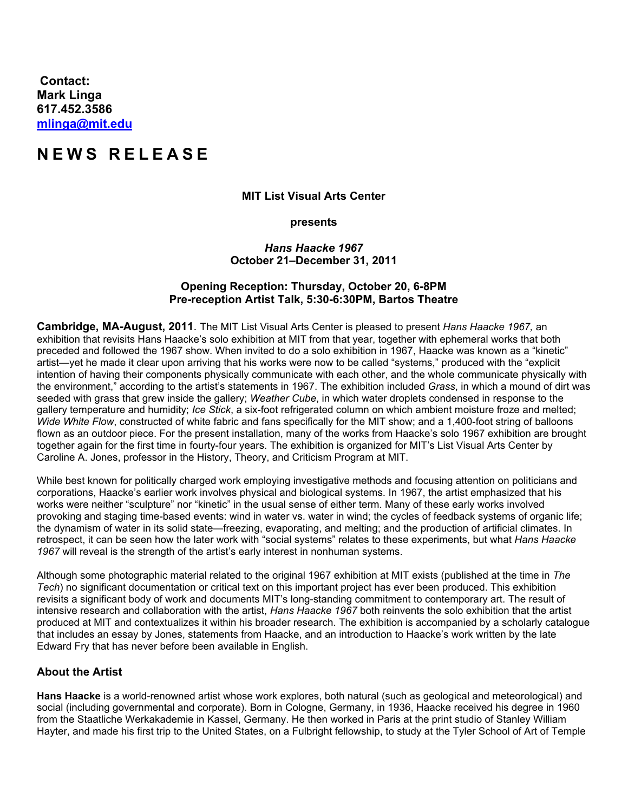**Contact: Mark Linga [617.452.3586](tel:6174523586) [mlinga@mit.edu](mailto:mlinga@mit.edu)**

# **NEW S REL E A S E**

#### **MIT List Visual Arts Center**

**presents**

### *Hans Haacke 1967* **October 21–December 31, 2011**

## **Opening Reception: Thursday, October 20, 6-8PM Pre-reception Artist Talk, 5:30-6:30PM, Bartos Theatre**

**Cambridge, MA-August, 2011**. The MIT List Visual Arts Center is pleased to present *Hans Haacke 1967,* an exhibition that revisits Hans Haacke's solo exhibition at MIT from that year, together with ephemeral works that both preceded and followed the 1967 show. When invited to do a solo exhibition in 1967, Haacke was known as a "kinetic" artist—yet he made it clear upon arriving that his works were now to be called "systems," produced with the "explicit intention of having their components physically communicate with each other, and the whole communicate physically with the environment," according to the artist's statements in 1967. The exhibition included *Grass*, in which a mound of dirt was seeded with grass that grew inside the gallery; *Weather Cube*, in which water droplets condensed in response to the gallery temperature and humidity; *Ice Stick*, a six-foot refrigerated column on which ambient moisture froze and melted; *Wide White Flow*, constructed of white fabric and fans specifically for the MIT show; and a 1,400-foot string of balloons flown as an outdoor piece. For the present installation, many of the works from Haacke's solo 1967 exhibition are brought together again for the first time in fourty-four years. The exhibition is organized for MIT's List Visual Arts Center by Caroline A. Jones, professor in the History, Theory, and Criticism Program at MIT.

While best known for politically charged work employing investigative methods and focusing attention on politicians and corporations, Haacke's earlier work involves physical and biological systems. In 1967, the artist emphasized that his works were neither "sculpture" nor "kinetic" in the usual sense of either term. Many of these early works involved provoking and staging time-based events: wind in water vs. water in wind; the cycles of feedback systems of organic life; the dynamism of water in its solid state—freezing, evaporating, and melting; and the production of artificial climates. In retrospect, it can be seen how the later work with "social systems" relates to these experiments, but what *Hans Haacke 1967* will reveal is the strength of the artist's early interest in nonhuman systems.

Although some photographic material related to the original 1967 exhibition at MIT exists (published at the time in *The Tech*) no significant documentation or critical text on this important project has ever been produced. This exhibition revisits a significant body of work and documents MIT's long-standing commitment to contemporary art. The result of intensive research and collaboration with the artist, *Hans Haacke 1967* both reinvents the solo exhibition that the artist produced at MIT and contextualizes it within his broader research. The exhibition is accompanied by a scholarly catalogue that includes an essay by Jones, statements from Haacke, and an introduction to Haacke's work written by the late Edward Fry that has never before been available in English.

## **About the Artist**

**Hans Haacke** is a world-renowned artist whose work explores, both natural (such as geological and meteorological) and social (including governmental and corporate). Born in Cologne, Germany, in 1936, Haacke received his degree in 1960 from the Staatliche Werkakademie in Kassel, Germany. He then worked in Paris at the print studio of Stanley William Hayter, and made his first trip to the United States, on a Fulbright fellowship, to study at the Tyler School of Art of Temple